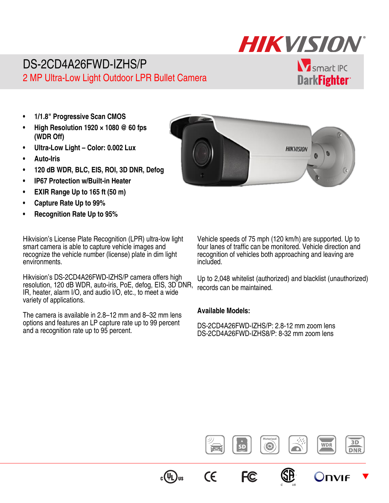# **HIKVISION**

## DS-2CD4A26FWD-IZHS/P 2 MP Ultra-Low Light Outdoor LPR Bullet Camera

**V** smart IPC **DarkFighter** 

- **1/1.8" Progressive Scan CMOS**
- **High Resolution 1920 × 1080 @ 60 fps (WDR Off)**
- **Ultra-Low Light Color: 0.002 Lux**
- **Auto-Iris**
- **120 dB WDR, BLC, EIS, ROI, 3D DNR, Defog**
- **IP67 Protection w/Built-in Heater**
- **EXIR Range Up to 165 ft (50 m)**
- **Capture Rate Up to 99%**
- **Recognition Rate Up to 95%**

Hikvision's License Plate Recognition (LPR) ultra-low light smart camera is able to capture vehicle images and recognize the vehicle number (license) plate in dim light environments.

Hikvision's DS-2CD4A26FWD-IZHS/P camera offers high resolution, 120 dB WDR, auto-iris, PoE, defog, EIS, 3D DNR, IR, heater, alarm I/O, and audio I/O, etc., to meet a wide variety of applications.

The camera is available in 2.8–12 mm and 8–32 mm lens options and features an LP capture rate up to 99 percent and a recognition rate up to 95 percent.



Vehicle speeds of 75 mph (120 km/h) are supported. Up to four lanes of traffic can be monitored. Vehicle direction and recognition of vehicles both approaching and leaving are included.

Up to 2,048 whitelist (authorized) and blacklist (unauthorized) records can be maintained.

#### **Available Models:**

DS-2CD4A26FWD-IZHS/P: 2.8-12 mm zoom lens DS-2CD4A26FWD-IZHS8/P: 8-32 mm zoom lens

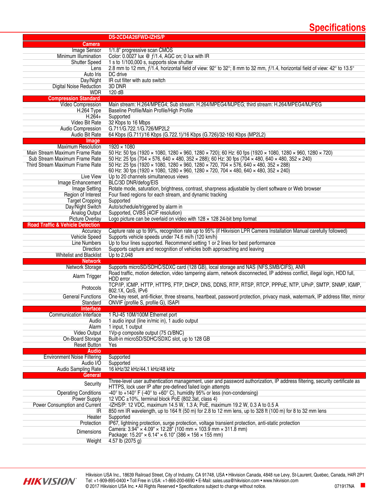## **Specifications**

|                                             | DS-2CD4A26FWD-IZHS/P                                                                                                                       |  |  |
|---------------------------------------------|--------------------------------------------------------------------------------------------------------------------------------------------|--|--|
| <b>Camera</b>                               |                                                                                                                                            |  |  |
| Image Sensor                                | 1/1.8" progressive scan CMOS                                                                                                               |  |  |
| Minimum Illumination                        | Color: $0.0027$ lux @ $f/1.4$ , AGC on; 0 lux with IR                                                                                      |  |  |
| <b>Shutter Speed</b>                        | 1 s to 1/100,000 s, supports slow shutter                                                                                                  |  |  |
| Lens                                        | 2.8 mm to 12 mm, $f/1.4$ , horizontal field of view: 92° to 32°; 8 mm to 32 mm, $f/1.4$ , horizontal field of view: 42° to 13.5°           |  |  |
| Auto Iris                                   | DC drive                                                                                                                                   |  |  |
| Day/Night                                   | IR cut filter with auto switch                                                                                                             |  |  |
| <b>Digital Noise Reduction</b>              | 3D DNR                                                                                                                                     |  |  |
| <b>WDR</b>                                  | 120 dB                                                                                                                                     |  |  |
| <b>Compression Standard</b>                 |                                                                                                                                            |  |  |
| Video Compression                           | Main stream: H.264/MPEG4; Sub stream: H.264/MPEG4/MJPEG; third stream: H.264/MPEG4/MJPEG                                                   |  |  |
| H.264 Type                                  | Baseline Profile/Main Profile/High Profile                                                                                                 |  |  |
| $H.264+$                                    | Supported                                                                                                                                  |  |  |
| Video Bit Rate                              | 32 Kbps to 16 Mbps                                                                                                                         |  |  |
| <b>Audio Compression</b>                    | G.711/G.722.1/G.726/MP2L2                                                                                                                  |  |  |
| Audio Bit Rate                              | 64 Kbps (G.711)/16 Kbps (G.722.1)/16 Kbps (G.726)/32-160 Kbps (MP2L2)                                                                      |  |  |
| Image                                       |                                                                                                                                            |  |  |
| <b>Maximum Resolution</b>                   | $1920 \times 1080$                                                                                                                         |  |  |
| Main Stream Maximum Frame Rate              | 50 Hz: 50 fps (1920 x 1080, 1280 x 960, 1280 x 720); 60 Hz: 60 fps (1920 x 1080, 1280 x 960, 1280 x 720)                                   |  |  |
| Sub Stream Maximum Frame Rate               | 50 Hz: 25 fps (704 $\times$ 576, 640 $\times$ 480, 352 $\times$ 288); 60 Hz: 30 fps (704 $\times$ 480, 640 $\times$ 480, 352 $\times$ 240) |  |  |
| Third Stream Maximum Frame Rate             | 50 Hz: 25 fps (1920 x 1080, 1280 x 960, 1280 x 720, 704 x 576, 640 x 480, 352 x 288)                                                       |  |  |
|                                             | 60 Hz: 30 fps (1920 $\times$ 1080, 1280 $\times$ 960, 1280 $\times$ 720, 704 $\times$ 480, 640 $\times$ 480, 352 $\times$ 240)             |  |  |
| Live View                                   | Up to 20 channels simultaneous views                                                                                                       |  |  |
| Image Enhancement                           | BLC/3D DNR/defog/EIS                                                                                                                       |  |  |
| Image Setting                               | Rotate mode, saturation, brightness, contrast, sharpness adjustable by client software or Web browser                                      |  |  |
| Region of Interest                          | Four fixed regions for each stream, and dynamic tracking                                                                                   |  |  |
| <b>Target Cropping</b>                      | Supported                                                                                                                                  |  |  |
| Day/Night Switch                            | Auto/schedule/triggered by alarm in                                                                                                        |  |  |
| <b>Analog Output</b>                        | Supported, CVBS (4CIF resolution)                                                                                                          |  |  |
| <b>Picture Overlay</b>                      | Logo picture can be overlaid on video with $128 \times 128$ 24-bit bmp format                                                              |  |  |
| <b>Road Traffic &amp; Vehicle Detection</b> |                                                                                                                                            |  |  |
| Accuracy                                    | Capture rate up to 99%, recognition rate up to 95% (if Hikvision LPR Camera Installation Manual carefully followed)                        |  |  |
| <b>Vehicle Speed</b>                        | Supports vehicle speeds under 74.6 mi/h (120 km/h)                                                                                         |  |  |
| <b>Line Numbers</b>                         | Up to four lines supported. Recommend setting 1 or 2 lines for best performance                                                            |  |  |
| <b>Direction</b>                            | Supports capture and recognition of vehicles both approaching and leaving                                                                  |  |  |
| <b>Whitelist and Blacklist</b>              | Up to 2,048                                                                                                                                |  |  |
| <b>Network</b>                              |                                                                                                                                            |  |  |
| Network Storage                             | Supports microSD/SDHC/SDXC card (128 GB), local storage and NAS (NFS, SMB/CIFS), ANR                                                       |  |  |
| Alarm Trigger                               | Road traffic, motion detection, video tampering alarm, network disconnected, IP address conflict, illegal login, HDD full,                 |  |  |
|                                             | HDD error<br>TCP/IP, ICMP, HTTP, HTTPS, FTP, DHCP, DNS, DDNS, RTP, RTSP, RTCP, PPPoE, NTP, UPnP, SMTP, SNMP, IGMP,                         |  |  |
| Protocols                                   | 802.1X, QoS, IPv6                                                                                                                          |  |  |
| <b>General Functions</b>                    | One-key reset, anti-flicker, three streams, heartbeat, password protection, privacy mask, watermark, IP address filter, mirror             |  |  |
| Standard                                    | ONVIF (profile S, profile G), ISAPI                                                                                                        |  |  |
| <b>Interface</b>                            |                                                                                                                                            |  |  |
| Communication Interface                     | 1 RJ-45 10M/100M Ethernet port                                                                                                             |  |  |
| Audio                                       | 1 audio input (line in/mic in), 1 audio output                                                                                             |  |  |
| Alarm                                       | 1 input, 1 output                                                                                                                          |  |  |
| Video Output                                | 1Vp-p composite output (75 $\Omega$ /BNC)                                                                                                  |  |  |
| On-Board Storage                            | Built-in microSD/SDHC/SDXC slot, up to 128 GB                                                                                              |  |  |
| <b>Reset Button</b>                         | Yes                                                                                                                                        |  |  |
| Audio                                       |                                                                                                                                            |  |  |
| <b>Environment Noise Filtering</b>          | Supported                                                                                                                                  |  |  |
| Audio I/O                                   | Supported                                                                                                                                  |  |  |
| Audio Sampling Rate                         | 16 kHz/32 kHz/44.1 kHz/48 kHz                                                                                                              |  |  |
| General                                     |                                                                                                                                            |  |  |
| Security                                    | Three-level user authentication management, user and password authorization, IP address filtering, security certificate as                 |  |  |
|                                             | HTTPS, lock user IP after pre-defined failed login attempts                                                                                |  |  |
| <b>Operating Conditions</b>                 | -40° to +140° F (-40° to +60° C), humidity 95% or less (non-condensing)                                                                    |  |  |
| <b>Power Supply</b>                         | 12 VDC ±10%, terminal block PoE (802.3at, class 4)                                                                                         |  |  |
| Power Consumption and Current               | -IZHS/P: 12 VDC, maximum 14.5 W, 1.3 A; PoE, maximum 19.2 W, 0.3 A to 0.5 A                                                                |  |  |
| IR.                                         | 850 nm IR wavelength, up to 164 ft (50 m) for 2.8 to 12 mm lens, up to 328 ft (100 m) for 8 to 32 mm lens                                  |  |  |
| Heater                                      | Supported                                                                                                                                  |  |  |
| Protection                                  | IP67, lightning protection, surge protection, voltage transient protection, anti-static protection                                         |  |  |
| <b>Dimensions</b>                           | Camera: $3.94" \times 4.09" \times 12.28"$ (100 mm $\times$ 103.9 mm $\times$ 311.8 mm)                                                    |  |  |
|                                             | Package: $15.20'' \times 6.14'' \times 6.10''$ (386 $\times$ 156 $\times$ 155 mm)                                                          |  |  |
| Weight                                      | 4.57 lb (2075 g)                                                                                                                           |  |  |